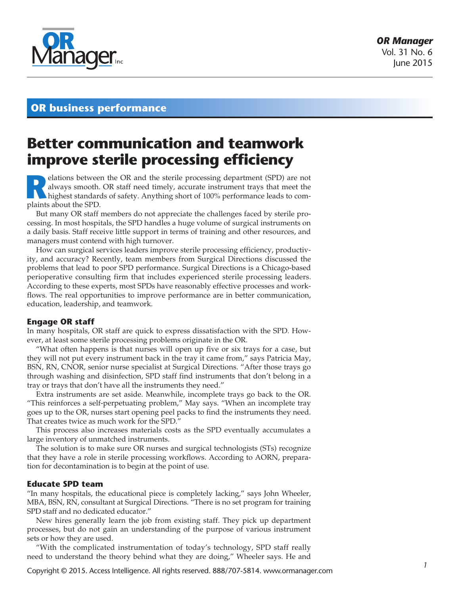

# **OR business performance**

# **Better communication and teamwork improve sterile processing efficiency**

**Relations between the OR and the sterile processing department (SPD) are not always smooth. OR staff need timely, accurate instrument trays that meet the highest standards of safety. Anything short of 100% performance lea** always smooth. OR staff need timely, accurate instrument trays that meet the plaints about the SPD.

But many OR staff members do not appreciate the challenges faced by sterile processing. In most hospitals, the SPD handles a huge volume of surgical instruments on a daily basis. Staff receive little support in terms of training and other resources, and managers must contend with high turnover.

How can surgical services leaders improve sterile processing efficiency, productivity, and accuracy? Recently, team members from Surgical Directions discussed the problems that lead to poor SPD performance. Surgical Directions is a Chicago-based perioperative consulting firm that includes experienced sterile processing leaders. According to these experts, most SPDs have reasonably effective processes and workflows. The real opportunities to improve performance are in better communication, education, leadership, and teamwork.

# **Engage OR staff**

In many hospitals, OR staff are quick to express dissatisfaction with the SPD. However, at least some sterile processing problems originate in the OR.

"What often happens is that nurses will open up five or six trays for a case, but they will not put every instrument back in the tray it came from," says Patricia May, BSN, RN, CNOR, senior nurse specialist at Surgical Directions. "After those trays go through washing and disinfection, SPD staff find instruments that don't belong in a tray or trays that don't have all the instruments they need."

Extra instruments are set aside. Meanwhile, incomplete trays go back to the OR. "This reinforces a self-perpetuating problem," May says. "When an incomplete tray goes up to the OR, nurses start opening peel packs to find the instruments they need. That creates twice as much work for the SPD."

This process also increases materials costs as the SPD eventually accumulates a large inventory of unmatched instruments.

The solution is to make sure OR nurses and surgical technologists (STs) recognize that they have a role in sterile processing workflows. According to AORN, preparation for decontamination is to begin at the point of use.

# **Educate SPD team**

"In many hospitals, the educational piece is completely lacking," says John Wheeler, MBA, BSN, RN, consultant at Surgical Directions. "There is no set program for training SPD staff and no dedicated educator."

New hires generally learn the job from existing staff. They pick up department processes, but do not gain an understanding of the purpose of various instrument sets or how they are used.

"With the complicated instrumentation of today's technology, SPD staff really need to understand the theory behind what they are doing," Wheeler says. He and

Copyright © 2015. Access Intelligence. All rights reserved. 888/707-5814. www.ormanager.com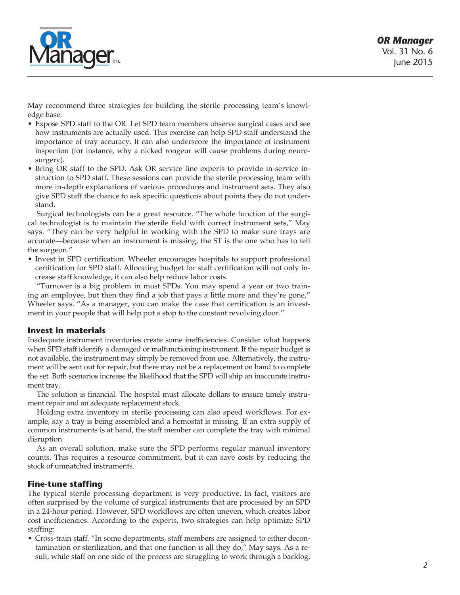

May recommend three strategies for building the sterile processing team's knowledge base:

- • Expose SPD staff to the OR. Let SPD team members observe surgical cases and see how instruments are actually used. This exercise can help SPD staff understand the importance of tray accuracy. It can also underscore the importance of instrument inspection (for instance, why a nicked rongeur will cause problems during neurosurgery).
- • Bring OR staff to the SPD. Ask OR service line experts to provide in-service instruction to SPD staff. These sessions can provide the sterile processing team with more in-depth explanations of various procedures and instrument sets. They also give SPD staff the chance to ask specific questions about points they do not understand.

Surgical technologists can be a great resource. "The whole function of the surgical technologist is to maintain the sterile field with correct instrument sets," May says. "They can be very helpful in working with the SPD to make sure trays are accurate—because when an instrument is missing, the ST is the one who has to tell the surgeon."

• Invest in SPD certification. Wheeler encourages hospitals to support professional certification for SPD staff. Allocating budget for staff certification will not only increase staff knowledge, it can also help reduce labor costs.

"Turnover is a big problem in most SPDs. You may spend a year or two training an employee, but then they find a job that pays a little more and they're gone," Wheeler says. "As a manager, you can make the case that certification is an investment in your people that will help put a stop to the constant revolving door."

# **Invest in materials**

Inadequate instrument inventories create some inefficiencies. Consider what happens when SPD staff identify a damaged or malfunctioning instrument. If the repair budget is not available, the instrument may simply be removed from use. Alternatively, the instrument will be sent out for repair, but there may not be a replacement on hand to complete the set. Both scenarios increase the likelihood that the SPD will ship an inaccurate instrument tray.

The solution is financial. The hospital must allocate dollars to ensure timely instrument repair and an adequate replacement stock.

Holding extra inventory in sterile processing can also speed workflows. For example, say a tray is being assembled and a hemostat is missing. If an extra supply of common instruments is at hand, the staff member can complete the tray with minimal disruption.

As an overall solution, make sure the SPD performs regular manual inventory counts. This requires a resource commitment, but it can save costs by reducing the stock of unmatched instruments.

# **Fine-tune staffing**

The typical sterile processing department is very productive. In fact, visitors are often surprised by the volume of surgical instruments that are processed by an SPD in a 24-hour period. However, SPD workflows are often uneven, which creates labor cost inefficiencies. According to the experts, two strategies can help optimize SPD staffing:

• Cross-train staff. "In some departments, staff members are assigned to either decontamination or sterilization, and that one function is all they do," May says. As a result, while staff on one side of the process are struggling to work through a backlog,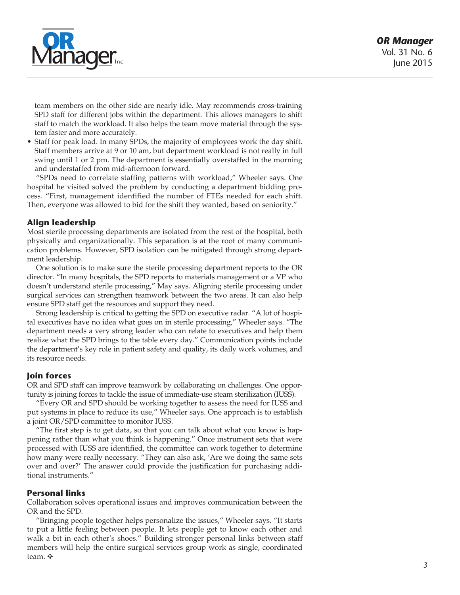

team members on the other side are nearly idle. May recommends cross-training SPD staff for different jobs within the department. This allows managers to shift staff to match the workload. It also helps the team move material through the system faster and more accurately.

Staff for peak load. In many SPDs, the majority of employees work the day shift. Staff members arrive at 9 or 10 am, but department workload is not really in full swing until 1 or 2 pm. The department is essentially overstaffed in the morning and understaffed from mid-afternoon forward.

"SPDs need to correlate staffing patterns with workload," Wheeler says. One hospital he visited solved the problem by conducting a department bidding process. "First, management identified the number of FTEs needed for each shift. Then, everyone was allowed to bid for the shift they wanted, based on seniority."

# **Align leadership**

Most sterile processing departments are isolated from the rest of the hospital, both physically and organizationally. This separation is at the root of many communication problems. However, SPD isolation can be mitigated through strong department leadership.

One solution is to make sure the sterile processing department reports to the OR director. "In many hospitals, the SPD reports to materials management or a VP who doesn't understand sterile processing," May says. Aligning sterile processing under surgical services can strengthen teamwork between the two areas. It can also help ensure SPD staff get the resources and support they need.

Strong leadership is critical to getting the SPD on executive radar. "A lot of hospital executives have no idea what goes on in sterile processing," Wheeler says. "The department needs a very strong leader who can relate to executives and help them realize what the SPD brings to the table every day." Communication points include the department's key role in patient safety and quality, its daily work volumes, and its resource needs.

# **Join forces**

OR and SPD staff can improve teamwork by collaborating on challenges. One opportunity is joining forces to tackle the issue of immediate-use steam sterilization (IUSS).

"Every OR and SPD should be working together to assess the need for IUSS and put systems in place to reduce its use," Wheeler says. One approach is to establish a joint OR/SPD committee to monitor IUSS.

"The first step is to get data, so that you can talk about what you know is happening rather than what you think is happening." Once instrument sets that were processed with IUSS are identified, the committee can work together to determine how many were really necessary. "They can also ask, 'Are we doing the same sets over and over?' The answer could provide the justification for purchasing additional instruments."

# **Personal links**

Collaboration solves operational issues and improves communication between the OR and the SPD.

"Bringing people together helps personalize the issues," Wheeler says. "It starts to put a little feeling between people. It lets people get to know each other and walk a bit in each other's shoes." Building stronger personal links between staff members will help the entire surgical services group work as single, coordinated team. ✥